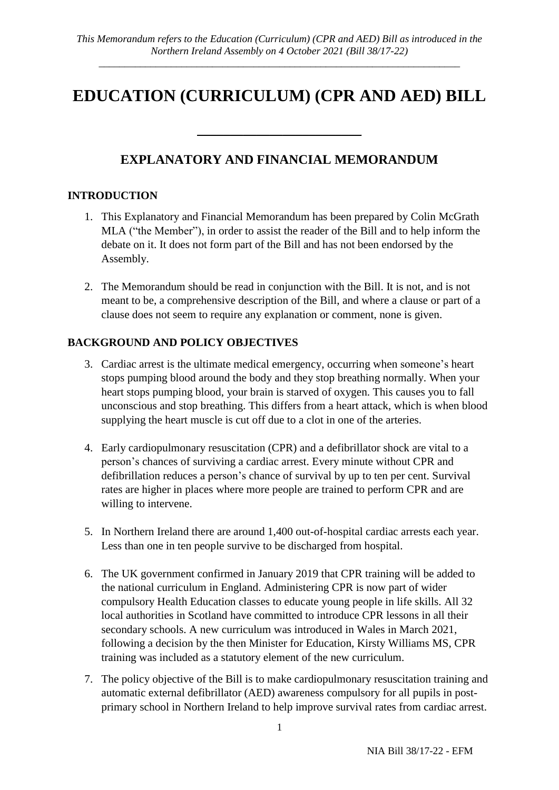*\_\_\_\_\_\_\_\_\_\_\_\_\_\_\_\_\_\_\_\_\_\_\_\_\_\_\_\_\_\_\_\_\_\_\_\_\_\_\_\_\_\_\_\_\_\_\_\_\_\_\_\_\_\_\_\_\_\_\_\_\_\_\_\_\_\_\_\_\_\_*

# **EDUCATION (CURRICULUM) (CPR AND AED) BILL**

## **EXPLANATORY AND FINANCIAL MEMORANDUM**

\_\_\_\_\_\_\_\_\_\_\_\_\_\_\_\_\_\_\_\_\_\_\_\_\_

## **INTRODUCTION**

- 1. This Explanatory and Financial Memorandum has been prepared by Colin McGrath MLA ("the Member"), in order to assist the reader of the Bill and to help inform the debate on it. It does not form part of the Bill and has not been endorsed by the Assembly.
- 2. The Memorandum should be read in conjunction with the Bill. It is not, and is not meant to be, a comprehensive description of the Bill, and where a clause or part of a clause does not seem to require any explanation or comment, none is given.

## **BACKGROUND AND POLICY OBJECTIVES**

- 3. Cardiac arrest is the ultimate medical emergency, occurring when someone's heart stops pumping blood around the body and they stop breathing normally. When your heart stops pumping blood, your brain is starved of oxygen. This causes you to fall unconscious and stop breathing. This differs from a heart attack, which is when blood supplying the heart muscle is cut off due to a clot in one of the arteries.
- 4. Early cardiopulmonary resuscitation (CPR) and a defibrillator shock are vital to a person's chances of surviving a cardiac arrest. Every minute without CPR and defibrillation reduces a person's chance of survival by up to ten per cent. Survival rates are higher in places where more people are trained to perform CPR and are willing to intervene.
- 5. In Northern Ireland there are around 1,400 out-of-hospital cardiac arrests each year. Less than one in ten people survive to be discharged from hospital.
- 6. The UK government confirmed in January 2019 that CPR training will be added to the national curriculum in England. Administering CPR is now part of wider compulsory Health Education classes to educate young people in life skills. All 32 local authorities in Scotland have committed to introduce CPR lessons in all their secondary schools. A new curriculum was introduced in Wales in March 2021, following a decision by the then Minister for Education, Kirsty Williams MS, CPR training was included as a statutory element of the new curriculum.
- 7. The policy objective of the Bill is to make cardiopulmonary resuscitation training and automatic external defibrillator (AED) awareness compulsory for all pupils in postprimary school in Northern Ireland to help improve survival rates from cardiac arrest.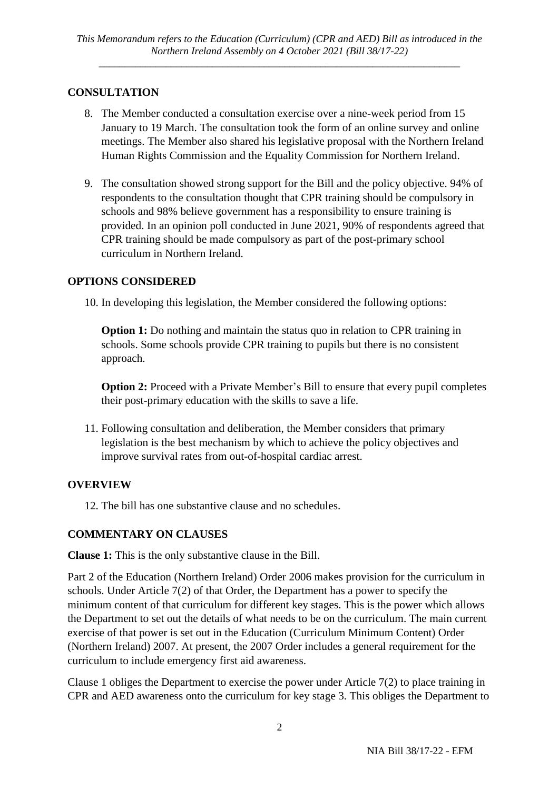*\_\_\_\_\_\_\_\_\_\_\_\_\_\_\_\_\_\_\_\_\_\_\_\_\_\_\_\_\_\_\_\_\_\_\_\_\_\_\_\_\_\_\_\_\_\_\_\_\_\_\_\_\_\_\_\_\_\_\_\_\_\_\_\_\_\_\_\_\_\_*

## **CONSULTATION**

- 8. The Member conducted a consultation exercise over a nine-week period from 15 January to 19 March. The consultation took the form of an online survey and online meetings. The Member also shared his legislative proposal with the Northern Ireland Human Rights Commission and the Equality Commission for Northern Ireland.
- 9. The consultation showed strong support for the Bill and the policy objective. 94% of respondents to the consultation thought that CPR training should be compulsory in schools and 98% believe government has a responsibility to ensure training is provided. In an opinion poll conducted in June 2021, 90% of respondents agreed that CPR training should be made compulsory as part of the post-primary school curriculum in Northern Ireland.

## **OPTIONS CONSIDERED**

10. In developing this legislation, the Member considered the following options:

**Option 1:** Do nothing and maintain the status quo in relation to CPR training in schools. Some schools provide CPR training to pupils but there is no consistent approach.

**Option 2:** Proceed with a Private Member's Bill to ensure that every pupil completes their post-primary education with the skills to save a life.

11. Following consultation and deliberation, the Member considers that primary legislation is the best mechanism by which to achieve the policy objectives and improve survival rates from out-of-hospital cardiac arrest.

## **OVERVIEW**

12. The bill has one substantive clause and no schedules.

## **COMMENTARY ON CLAUSES**

**Clause 1:** This is the only substantive clause in the Bill.

Part 2 of the Education (Northern Ireland) Order 2006 makes provision for the curriculum in schools. Under Article 7(2) of that Order, the Department has a power to specify the minimum content of that curriculum for different key stages. This is the power which allows the Department to set out the details of what needs to be on the curriculum. The main current exercise of that power is set out in the Education (Curriculum Minimum Content) Order (Northern Ireland) 2007. At present, the 2007 Order includes a general requirement for the curriculum to include emergency first aid awareness.

Clause 1 obliges the Department to exercise the power under Article 7(2) to place training in CPR and AED awareness onto the curriculum for key stage 3. This obliges the Department to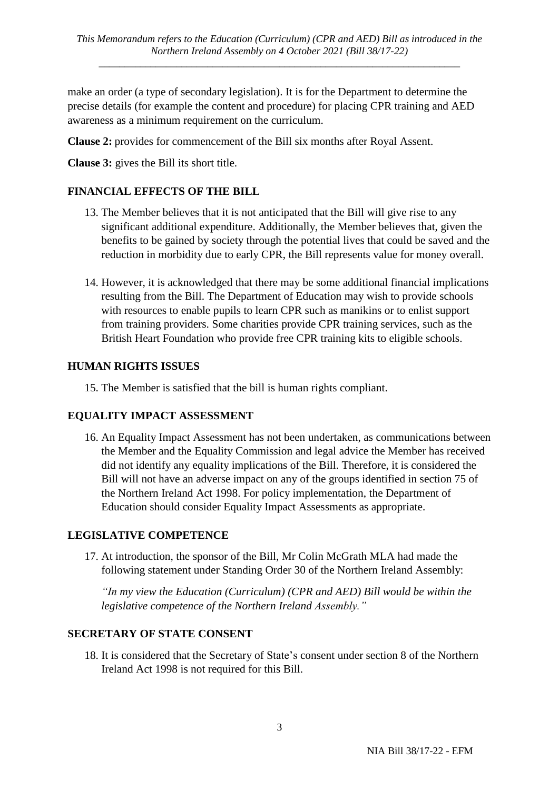*\_\_\_\_\_\_\_\_\_\_\_\_\_\_\_\_\_\_\_\_\_\_\_\_\_\_\_\_\_\_\_\_\_\_\_\_\_\_\_\_\_\_\_\_\_\_\_\_\_\_\_\_\_\_\_\_\_\_\_\_\_\_\_\_\_\_\_\_\_\_*

make an order (a type of secondary legislation). It is for the Department to determine the precise details (for example the content and procedure) for placing CPR training and AED awareness as a minimum requirement on the curriculum.

**Clause 2:** provides for commencement of the Bill six months after Royal Assent.

**Clause 3:** gives the Bill its short title.

## **FINANCIAL EFFECTS OF THE BILL**

- 13. The Member believes that it is not anticipated that the Bill will give rise to any significant additional expenditure. Additionally, the Member believes that, given the benefits to be gained by society through the potential lives that could be saved and the reduction in morbidity due to early CPR, the Bill represents value for money overall.
- 14. However, it is acknowledged that there may be some additional financial implications resulting from the Bill. The Department of Education may wish to provide schools with resources to enable pupils to learn CPR such as manikins or to enlist support from training providers. Some charities provide CPR training services, such as the British Heart Foundation who provide free CPR training kits to eligible schools.

## **HUMAN RIGHTS ISSUES**

15. The Member is satisfied that the bill is human rights compliant.

## **EQUALITY IMPACT ASSESSMENT**

16. An Equality Impact Assessment has not been undertaken, as communications between the Member and the Equality Commission and legal advice the Member has received did not identify any equality implications of the Bill. Therefore, it is considered the Bill will not have an adverse impact on any of the groups identified in section 75 of the Northern Ireland Act 1998. For policy implementation, the Department of Education should consider Equality Impact Assessments as appropriate.

## **LEGISLATIVE COMPETENCE**

17. At introduction, the sponsor of the Bill, Mr Colin McGrath MLA had made the following statement under Standing Order 30 of the Northern Ireland Assembly:

*"In my view the Education (Curriculum) (CPR and AED) Bill would be within the legislative competence of the Northern Ireland Assembly."*

## **SECRETARY OF STATE CONSENT**

18. It is considered that the Secretary of State's consent under section 8 of the Northern Ireland Act 1998 is not required for this Bill.